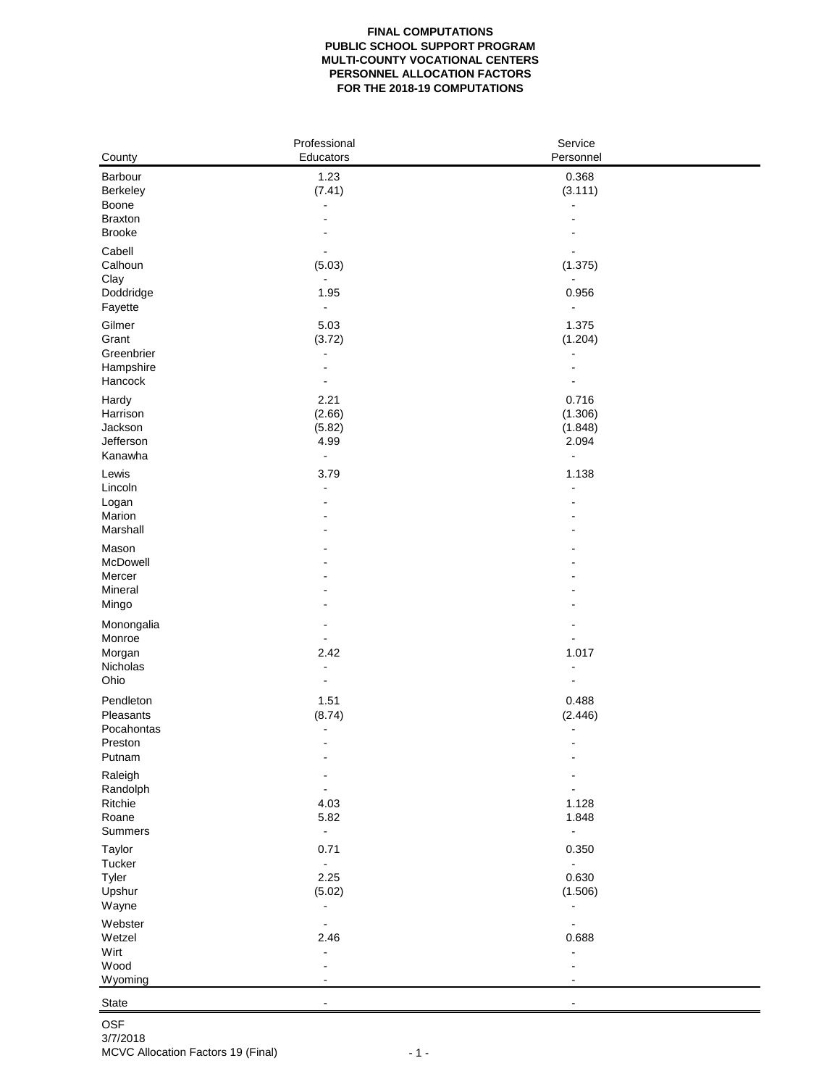## **FINAL COMPUTATIONS PUBLIC SCHOOL SUPPORT PROGRAM MULTI-COUNTY VOCATIONAL CENTERS PERSONNEL ALLOCATION FACTORS FOR THE 2018-19 COMPUTATIONS**

|                      | Professional             | Service        |  |
|----------------------|--------------------------|----------------|--|
| County               | Educators                | Personnel      |  |
| Barbour              | 1.23                     | 0.368          |  |
| Berkeley             | (7.41)                   | (3.111)        |  |
| Boone                | $\blacksquare$           | $\blacksquare$ |  |
| <b>Braxton</b>       |                          |                |  |
| <b>Brooke</b>        |                          |                |  |
| Cabell               |                          |                |  |
| Calhoun              | (5.03)                   | (1.375)        |  |
| Clay                 |                          |                |  |
| Doddridge            | 1.95                     | 0.956          |  |
| Fayette              | $\sim$                   | $\overline{a}$ |  |
|                      |                          |                |  |
| Gilmer               | 5.03                     | 1.375          |  |
| Grant                | (3.72)                   | (1.204)        |  |
| Greenbrier           | $\ddot{\phantom{a}}$     | $\blacksquare$ |  |
| Hampshire<br>Hancock |                          | $\blacksquare$ |  |
|                      |                          |                |  |
| Hardy                | 2.21                     | 0.716          |  |
| Harrison             | (2.66)                   | (1.306)        |  |
| Jackson              | (5.82)                   | (1.848)        |  |
| Jefferson            | 4.99                     | 2.094          |  |
| Kanawha              | $\blacksquare$           | $\blacksquare$ |  |
| Lewis                | 3.79                     | 1.138          |  |
| Lincoln              | $\blacksquare$           | ä,             |  |
| Logan                |                          |                |  |
| Marion               |                          |                |  |
| Marshall             |                          |                |  |
| Mason                |                          |                |  |
| McDowell             |                          |                |  |
| Mercer               |                          |                |  |
| Mineral              |                          |                |  |
| Mingo                |                          |                |  |
| Monongalia           |                          |                |  |
| Monroe               |                          |                |  |
| Morgan               | 2.42                     | 1.017          |  |
| Nicholas             | $\overline{a}$           | $\overline{a}$ |  |
| Ohio                 |                          |                |  |
| Pendleton            | 1.51                     | 0.488          |  |
| Pleasants            | (8.74)                   | (2.446)        |  |
| Pocahontas           | ٠                        |                |  |
| Preston              | $\sim$                   | $\blacksquare$ |  |
| Putnam               | ۰                        | $\blacksquare$ |  |
| Raleigh              |                          |                |  |
| Randolph             |                          |                |  |
| Ritchie              | 4.03                     | 1.128          |  |
| Roane                | 5.82                     | 1.848          |  |
| Summers              | $\overline{\phantom{a}}$ | $\Box$         |  |
| Taylor               | 0.71                     | 0.350          |  |
| Tucker               | $\overline{\phantom{a}}$ | $\overline{a}$ |  |
| Tyler                | 2.25                     | 0.630          |  |
| Upshur               | (5.02)                   | (1.506)        |  |
| Wayne                | $\overline{a}$           | ä,             |  |
| Webster              | $\blacksquare$           | $\blacksquare$ |  |
| Wetzel               | 2.46                     | 0.688          |  |
| Wirt                 | $\blacksquare$           | $\overline{a}$ |  |
| Wood                 |                          |                |  |
| Wyoming              | ٠                        | $\blacksquare$ |  |
|                      |                          |                |  |

State - -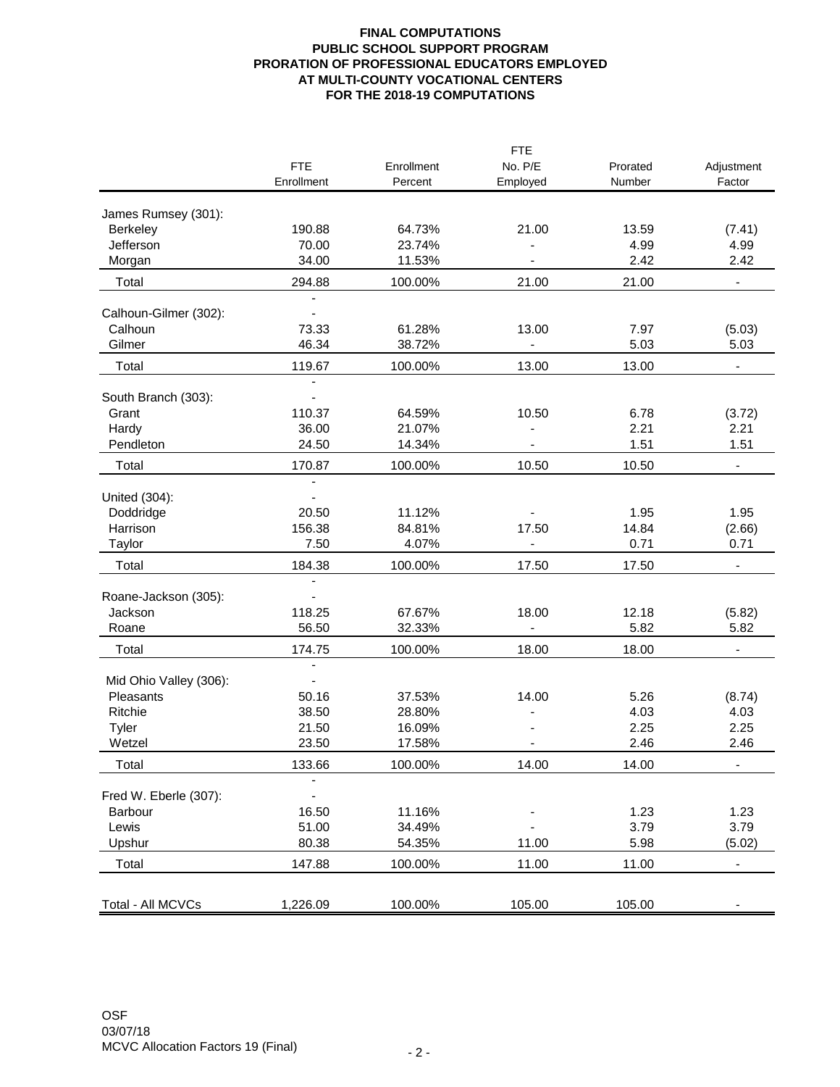## **FINAL COMPUTATIONS PUBLIC SCHOOL SUPPORT PROGRAM PRORATION OF PROFESSIONAL EDUCATORS EMPLOYED AT MULTI-COUNTY VOCATIONAL CENTERS FOR THE 2018-19 COMPUTATIONS**

|                        | <b>FTE</b>     |            |                |          |                          |  |  |
|------------------------|----------------|------------|----------------|----------|--------------------------|--|--|
|                        | <b>FTE</b>     | Enrollment | No. P/E        | Prorated | Adjustment               |  |  |
|                        | Enrollment     | Percent    | Employed       | Number   | Factor                   |  |  |
| James Rumsey (301):    |                |            |                |          |                          |  |  |
| Berkeley               | 190.88         | 64.73%     | 21.00          | 13.59    | (7.41)                   |  |  |
| Jefferson              | 70.00          | 23.74%     |                | 4.99     | 4.99                     |  |  |
| Morgan                 | 34.00          | 11.53%     |                | 2.42     | 2.42                     |  |  |
|                        |                |            |                |          |                          |  |  |
| Total                  | 294.88         | 100.00%    | 21.00          | 21.00    | $\blacksquare$           |  |  |
| Calhoun-Gilmer (302):  |                |            |                |          |                          |  |  |
| Calhoun                | 73.33          | 61.28%     | 13.00          | 7.97     | (5.03)                   |  |  |
| Gilmer                 | 46.34          | 38.72%     |                | 5.03     | 5.03                     |  |  |
| Total                  | 119.67         | 100.00%    | 13.00          | 13.00    | $\overline{\phantom{a}}$ |  |  |
| South Branch (303):    |                |            |                |          |                          |  |  |
| Grant                  | 110.37         | 64.59%     | 10.50          | 6.78     | (3.72)                   |  |  |
| Hardy                  | 36.00          | 21.07%     |                | 2.21     | 2.21                     |  |  |
| Pendleton              | 24.50          | 14.34%     |                | 1.51     | 1.51                     |  |  |
| Total                  | 170.87         | 100.00%    | 10.50          | 10.50    | $\blacksquare$           |  |  |
|                        |                |            |                |          |                          |  |  |
| United (304):          |                |            |                |          |                          |  |  |
| Doddridge              | 20.50          | 11.12%     |                | 1.95     | 1.95                     |  |  |
| Harrison               | 156.38         | 84.81%     | 17.50          | 14.84    | (2.66)                   |  |  |
| Taylor                 | 7.50           | 4.07%      | ÷,             | 0.71     | 0.71                     |  |  |
| Total                  | 184.38         | 100.00%    | 17.50          | 17.50    | $\blacksquare$           |  |  |
|                        |                |            |                |          |                          |  |  |
| Roane-Jackson (305):   |                |            |                |          |                          |  |  |
| Jackson                | 118.25         | 67.67%     | 18.00          | 12.18    | (5.82)                   |  |  |
| Roane                  | 56.50          | 32.33%     | $\blacksquare$ | 5.82     | 5.82                     |  |  |
| Total                  | 174.75         | 100.00%    | 18.00          | 18.00    |                          |  |  |
|                        | $\blacksquare$ |            |                |          |                          |  |  |
| Mid Ohio Valley (306): |                |            |                |          |                          |  |  |
| Pleasants              | 50.16          | 37.53%     | 14.00          | 5.26     | (8.74)                   |  |  |
| Ritchie                | 38.50          | 28.80%     |                | 4.03     | 4.03                     |  |  |
| Tyler                  | 21.50          | 16.09%     |                | 2.25     | 2.25                     |  |  |
| Wetzel                 | 23.50          | 17.58%     |                | 2.46     | 2.46                     |  |  |
| Total                  | 133.66         | 100.00%    | 14.00          | 14.00    | ٠                        |  |  |
| Fred W. Eberle (307):  | ٠              |            |                |          |                          |  |  |
| Barbour                | 16.50          | 11.16%     |                | 1.23     | 1.23                     |  |  |
| Lewis                  | 51.00          | 34.49%     |                | 3.79     | 3.79                     |  |  |
| Upshur                 | 80.38          | 54.35%     | 11.00          | 5.98     | (5.02)                   |  |  |
| Total                  | 147.88         | 100.00%    | 11.00          | 11.00    | $\overline{\phantom{a}}$ |  |  |
|                        |                |            |                |          |                          |  |  |
| Total - All MCVCs      | 1,226.09       | 100.00%    | 105.00         | 105.00   |                          |  |  |
|                        |                |            |                |          |                          |  |  |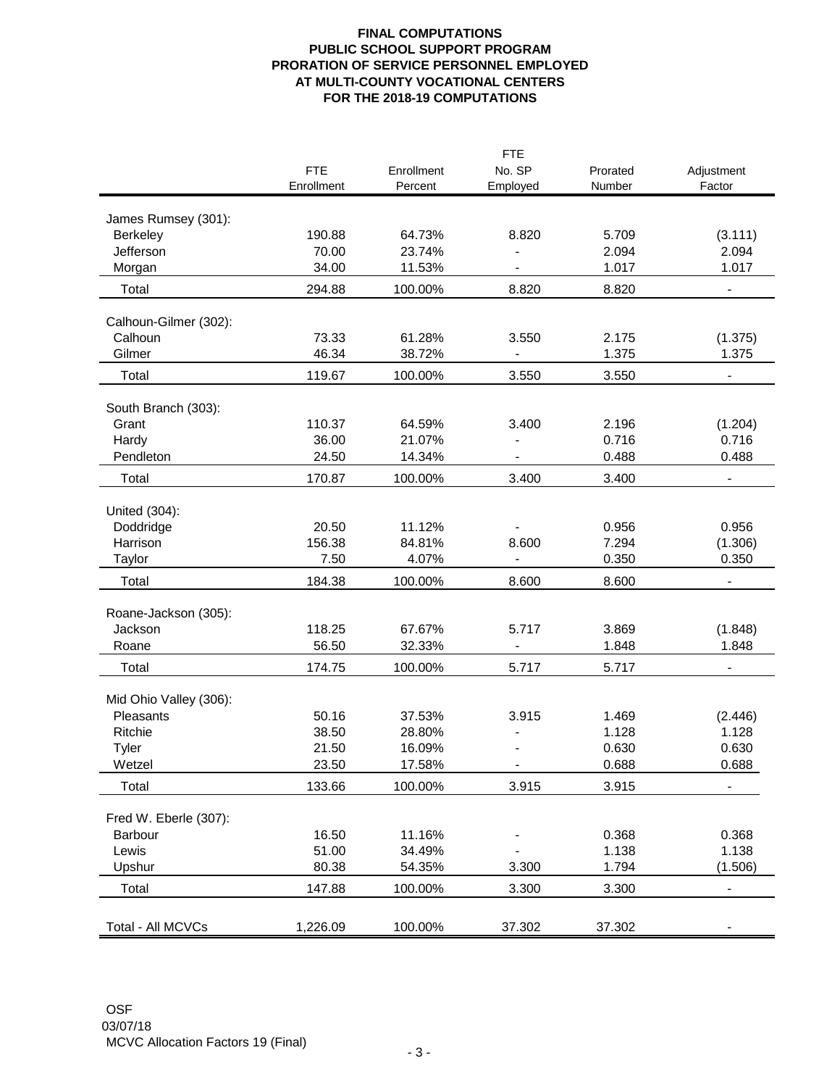## **FINAL COMPUTATIONS PUBLIC SCHOOL SUPPORT PROGRAM PRORATION OF SERVICE PERSONNEL EMPLOYED AT MULTI-COUNTY VOCATIONAL CENTERS FOR THE 2018-19 COMPUTATIONS**

|                                  | <b>FTE</b>      |                  |                              |                |                              |  |  |
|----------------------------------|-----------------|------------------|------------------------------|----------------|------------------------------|--|--|
|                                  | <b>FTE</b>      | Enrollment       | No. SP                       | Prorated       | Adjustment                   |  |  |
|                                  | Enrollment      | Percent          | Employed                     | Number         | Factor                       |  |  |
|                                  |                 |                  |                              |                |                              |  |  |
| James Rumsey (301):              |                 |                  |                              |                |                              |  |  |
| <b>Berkeley</b><br>Jefferson     | 190.88<br>70.00 | 64.73%<br>23.74% | 8.820                        | 5.709<br>2.094 | (3.111)<br>2.094             |  |  |
|                                  | 34.00           | 11.53%           | $\qquad \qquad \blacksquare$ | 1.017          | 1.017                        |  |  |
| Morgan                           |                 |                  |                              |                |                              |  |  |
| Total                            | 294.88          | 100.00%          | 8.820                        | 8.820          | $\blacksquare$               |  |  |
| Calhoun-Gilmer (302):            |                 |                  |                              |                |                              |  |  |
| Calhoun                          | 73.33           | 61.28%           | 3.550                        | 2.175          | (1.375)                      |  |  |
| Gilmer                           | 46.34           | 38.72%           |                              | 1.375          | 1.375                        |  |  |
| Total                            | 119.67          | 100.00%          | 3.550                        | 3.550          | $\qquad \qquad \blacksquare$ |  |  |
|                                  |                 |                  |                              |                |                              |  |  |
| South Branch (303):              | 110.37          |                  |                              |                |                              |  |  |
| Grant<br>Hardy                   | 36.00           | 64.59%<br>21.07% | 3.400                        | 2.196<br>0.716 | (1.204)<br>0.716             |  |  |
| Pendleton                        | 24.50           | 14.34%           | $\blacksquare$               | 0.488          | 0.488                        |  |  |
|                                  |                 |                  |                              |                |                              |  |  |
| Total                            | 170.87          | 100.00%          | 3.400                        | 3.400          | $\qquad \qquad \blacksquare$ |  |  |
| United (304):                    |                 |                  |                              |                |                              |  |  |
| Doddridge                        | 20.50           | 11.12%           |                              | 0.956          | 0.956                        |  |  |
| Harrison                         | 156.38          | 84.81%           | 8.600                        | 7.294          | (1.306)                      |  |  |
| Taylor                           | 7.50            | 4.07%            |                              | 0.350          | 0.350                        |  |  |
| Total                            | 184.38          | 100.00%          | 8.600                        | 8.600          | $\blacksquare$               |  |  |
|                                  |                 |                  |                              |                |                              |  |  |
| Roane-Jackson (305):             |                 |                  |                              |                |                              |  |  |
| Jackson                          | 118.25          | 67.67%           | 5.717                        | 3.869          | (1.848)                      |  |  |
| Roane                            | 56.50           | 32.33%           | $\blacksquare$               | 1.848          | 1.848                        |  |  |
| Total                            | 174.75          | 100.00%          | 5.717                        | 5.717          | $\overline{\phantom{a}}$     |  |  |
| Mid Ohio Valley (306):           |                 |                  |                              |                |                              |  |  |
| Pleasants                        | 50.16           | 37.53%           | 3.915                        | 1.469          | (2.446)                      |  |  |
| Ritchie                          | 38.50           | 28.80%           |                              | 1.128          | 1.128                        |  |  |
| Tyler                            | 21.50           | 16.09%           |                              | 0.630          | 0.630                        |  |  |
| Wetzel                           | 23.50           | 17.58%           |                              | 0.688          | 0.688                        |  |  |
| Total                            | 133.66          | 100.00%          | 3.915                        | 3.915          | $\overline{\phantom{0}}$     |  |  |
|                                  |                 |                  |                              |                |                              |  |  |
| Fred W. Eberle (307):<br>Barbour | 16.50           | 11.16%           |                              | 0.368          | 0.368                        |  |  |
| Lewis                            | 51.00           | 34.49%           |                              | 1.138          | 1.138                        |  |  |
| Upshur                           | 80.38           | 54.35%           | 3.300                        | 1.794          | (1.506)                      |  |  |
| Total                            | 147.88          | 100.00%          | 3.300                        | 3.300          | $\blacksquare$               |  |  |
|                                  |                 |                  |                              |                |                              |  |  |
| Total - All MCVCs                | 1,226.09        | 100.00%          | 37.302                       | 37.302         |                              |  |  |